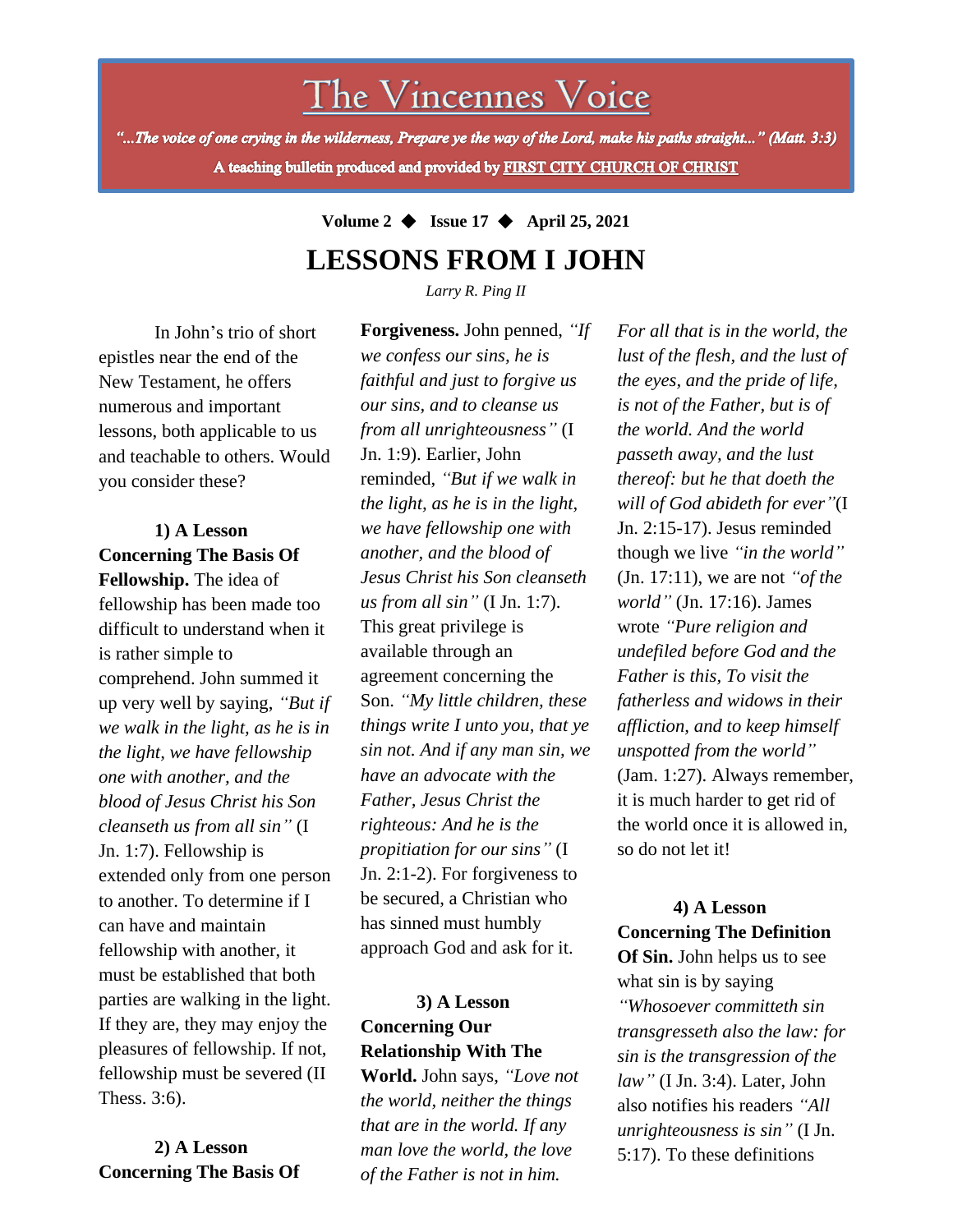The Vincennes Voice

"...The voice of one crying in the wilderness, Prepare ye the way of the Lord, make his paths straight..." (Matt. 3:3) A teaching bulletin produced and provided by FIRST CITY CHURCH OF CHRIST

> **Volume 2** ◆ **Issue 17** ◆ **April 25, 2021 LESSONS FROM I JOHN**

> > *Larry R. Ping II*

In John's trio of short epistles near the end of the New Testament, he offers numerous and important lessons, both applicable to us and teachable to others. Would you consider these?

fellowship must be severed (II **1) A Lesson Concerning The Basis Of Fellowship.** The idea of fellowship has been made too difficult to understand when it is rather simple to comprehend. John summed it up very well by saying, *"But if we walk in the light, as he is in the light, we have fellowship one with another, and the blood of Jesus Christ his Son cleanseth us from all sin"* (I Jn. 1:7). Fellowship is extended only from one person to another. To determine if I can have and maintain fellowship with another, it must be established that both parties are walking in the light. If they are, they may enjoy the pleasures of fellowship. If not, Thess. 3:6).

**2) A Lesson Concerning The Basis Of**

**Forgiveness.** John penned, *"If we confess our sins, he is faithful and just to forgive us our sins, and to cleanse us from all unrighteousness"* (I Jn. 1:9). Earlier, John reminded, *"But if we walk in the light, as he is in the light, we have fellowship one with another, and the blood of Jesus Christ his Son cleanseth us from all sin"* (I Jn. 1:7). This great privilege is available through an agreement concerning the Son. *"My little children, these things write I unto you, that ye sin not. And if any man sin, we have an advocate with the Father, Jesus Christ the righteous: And he is the propitiation for our sins"* (I Jn. 2:1-2). For forgiveness to be secured, a Christian who has sinned must humbly approach God and ask for it.

## **3) A Lesson Concerning Our Relationship With The**

**World.** John says, *"Love not the world, neither the things that are in the world. If any man love the world, the love of the Father is not in him.*

*For all that is in the world, the lust of the flesh, and the lust of the eyes, and the pride of life, is not of the Father, but is of the world. And the world passeth away, and the lust thereof: but he that doeth the will of God abideth for ever"*(I Jn. 2:15-17). Jesus reminded though we live *"in the world"* (Jn. 17:11), we are not *"of the world"* (Jn. 17:16). James wrote *"Pure religion and undefiled before God and the Father is this, To visit the fatherless and widows in their affliction, and to keep himself unspotted from the world"* (Jam. 1:27). Always remember, it is much harder to get rid of the world once it is allowed in, so do not let it!

### **4) A Lesson Concerning The Definition Of Sin.** John helps us to see

what sin is by saying *"Whosoever committeth sin transgresseth also the law: for sin is the transgression of the law"* (I Jn. 3:4). Later, John also notifies his readers *"All unrighteousness is sin"* (I Jn. 5:17). To these definitions